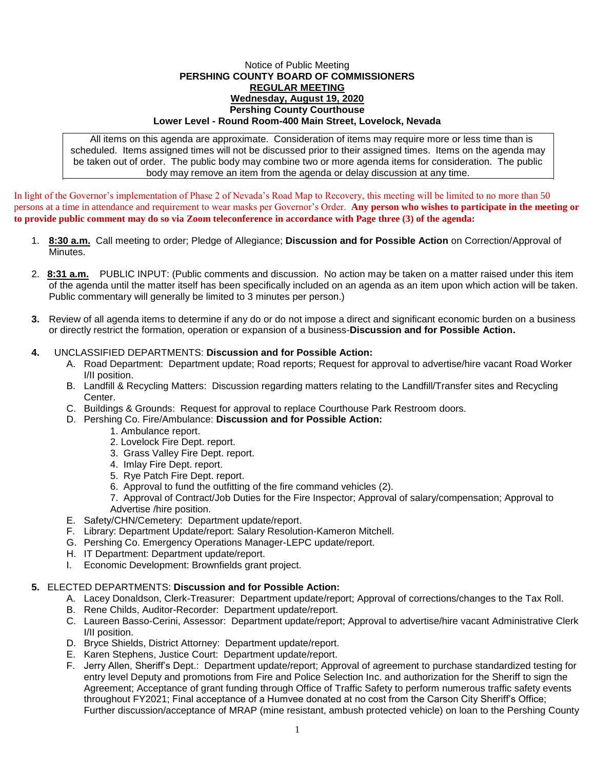## Notice of Public Meeting **PERSHING COUNTY BOARD OF COMMISSIONERS REGULAR MEETING Wednesday, August 19, 2020 Pershing County Courthouse Lower Level - Round Room-400 Main Street, Lovelock, Nevada**

All items on this agenda are approximate. Consideration of items may require more or less time than is scheduled. Items assigned times will not be discussed prior to their assigned times. Items on the agenda may be taken out of order. The public body may combine two or more agenda items for consideration. The public body may remove an item from the agenda or delay discussion at any time.

In light of the Governor's implementation of Phase 2 of Nevada's Road Map to Recovery, this meeting will be limited to no more than 50 persons at a time in attendance and requirement to wear masks per Governor's Order. **Any person who wishes to participate in the meeting or to provide public comment may do so via Zoom teleconference in accordance with Page three (3) of the agenda:** 

- 1. **8:30 a.m.** Call meeting to order; Pledge of Allegiance; **Discussion and for Possible Action** on Correction/Approval of Minutes.
- 2. **8:31 a.m.** PUBLIC INPUT: (Public comments and discussion. No action may be taken on a matter raised under this item of the agenda until the matter itself has been specifically included on an agenda as an item upon which action will be taken. Public commentary will generally be limited to 3 minutes per person.)
- **3.** Review of all agenda items to determine if any do or do not impose a direct and significant economic burden on a business or directly restrict the formation, operation or expansion of a business-**Discussion and for Possible Action.**
- **4.** UNCLASSIFIED DEPARTMENTS: **Discussion and for Possible Action:**
	- A. Road Department: Department update; Road reports; Request for approval to advertise/hire vacant Road Worker I/II position.
	- B. Landfill & Recycling Matters: Discussion regarding matters relating to the Landfill/Transfer sites and Recycling Center.
	- C. Buildings & Grounds: Request for approval to replace Courthouse Park Restroom doors.
	- D. Pershing Co. Fire/Ambulance: **Discussion and for Possible Action:**
		- 1. Ambulance report.
		- 2. Lovelock Fire Dept. report.
		- 3. Grass Valley Fire Dept. report.
		- 4. Imlay Fire Dept. report.
		- 5. Rye Patch Fire Dept. report.
		- 6. Approval to fund the outfitting of the fire command vehicles (2).
		- 7. Approval of Contract/Job Duties for the Fire Inspector; Approval of salary/compensation; Approval to Advertise /hire position.
	- E. Safety/CHN/Cemetery: Department update/report.
	- F. Library: Department Update/report: Salary Resolution-Kameron Mitchell.
	- G. Pershing Co. Emergency Operations Manager-LEPC update/report.
	- H. IT Department: Department update/report.
	- I. Economic Development: Brownfields grant project.

## **5.** ELECTED DEPARTMENTS: **Discussion and for Possible Action:**

- A. Lacey Donaldson, Clerk-Treasurer: Department update/report; Approval of corrections/changes to the Tax Roll.
- B. Rene Childs, Auditor-Recorder: Department update/report.
- C. Laureen Basso-Cerini, Assessor: Department update/report; Approval to advertise/hire vacant Administrative Clerk I/II position.
- D. Bryce Shields, District Attorney: Department update/report.
- E. Karen Stephens, Justice Court: Department update/report.
- F. Jerry Allen, Sheriff's Dept.: Department update/report; Approval of agreement to purchase standardized testing for entry level Deputy and promotions from Fire and Police Selection Inc. and authorization for the Sheriff to sign the Agreement; Acceptance of grant funding through Office of Traffic Safety to perform numerous traffic safety events throughout FY2021; Final acceptance of a Humvee donated at no cost from the Carson City Sheriff's Office; Further discussion/acceptance of MRAP (mine resistant, ambush protected vehicle) on loan to the Pershing County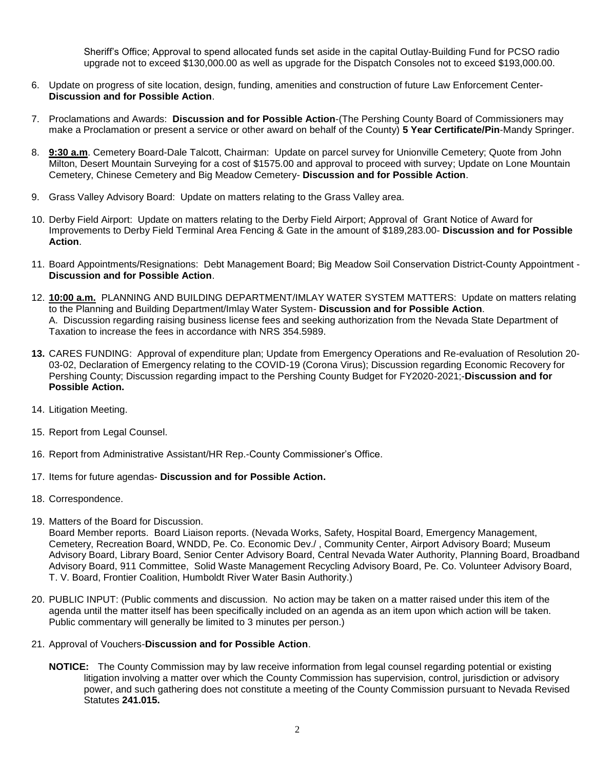Sheriff's Office; Approval to spend allocated funds set aside in the capital Outlay-Building Fund for PCSO radio upgrade not to exceed \$130,000.00 as well as upgrade for the Dispatch Consoles not to exceed \$193,000.00.

- 6. Update on progress of site location, design, funding, amenities and construction of future Law Enforcement Center-**Discussion and for Possible Action**.
- 7. Proclamations and Awards: **Discussion and for Possible Action**-(The Pershing County Board of Commissioners may make a Proclamation or present a service or other award on behalf of the County) **5 Year Certificate/Pin**-Mandy Springer.
- 8. **9:30 a.m**. Cemetery Board-Dale Talcott, Chairman: Update on parcel survey for Unionville Cemetery; Quote from John Milton, Desert Mountain Surveying for a cost of \$1575.00 and approval to proceed with survey; Update on Lone Mountain Cemetery, Chinese Cemetery and Big Meadow Cemetery- **Discussion and for Possible Action**.
- 9. Grass Valley Advisory Board: Update on matters relating to the Grass Valley area.
- 10. Derby Field Airport: Update on matters relating to the Derby Field Airport; Approval of Grant Notice of Award for Improvements to Derby Field Terminal Area Fencing & Gate in the amount of \$189,283.00- **Discussion and for Possible Action**.
- 11. Board Appointments/Resignations: Debt Management Board; Big Meadow Soil Conservation District-County Appointment **Discussion and for Possible Action**.
- 12. **10:00 a.m.** PLANNING AND BUILDING DEPARTMENT/IMLAY WATER SYSTEM MATTERS: Update on matters relating to the Planning and Building Department/Imlay Water System- **Discussion and for Possible Action**. A. Discussion regarding raising business license fees and seeking authorization from the Nevada State Department of Taxation to increase the fees in accordance with NRS 354.5989.
- **13.** CARES FUNDING: Approval of expenditure plan; Update from Emergency Operations and Re-evaluation of Resolution 20- 03-02, Declaration of Emergency relating to the COVID-19 (Corona Virus); Discussion regarding Economic Recovery for Pershing County; Discussion regarding impact to the Pershing County Budget for FY2020-2021;-**Discussion and for Possible Action.**
- 14. Litigation Meeting.
- 15. Report from Legal Counsel.
- 16. Report from Administrative Assistant/HR Rep.-County Commissioner's Office.
- 17. Items for future agendas- **Discussion and for Possible Action.**
- 18. Correspondence.
- 19. Matters of the Board for Discussion.

Board Member reports. Board Liaison reports. (Nevada Works, Safety, Hospital Board, Emergency Management, Cemetery, Recreation Board, WNDD, Pe. Co. Economic Dev./ , Community Center, Airport Advisory Board; Museum Advisory Board, Library Board, Senior Center Advisory Board, Central Nevada Water Authority, Planning Board, Broadband Advisory Board, 911 Committee, Solid Waste Management Recycling Advisory Board, Pe. Co. Volunteer Advisory Board, T. V. Board, Frontier Coalition, Humboldt River Water Basin Authority.)

- 20. PUBLIC INPUT: (Public comments and discussion. No action may be taken on a matter raised under this item of the agenda until the matter itself has been specifically included on an agenda as an item upon which action will be taken. Public commentary will generally be limited to 3 minutes per person.)
- 21. Approval of Vouchers-**Discussion and for Possible Action**.
	- **NOTICE:** The County Commission may by law receive information from legal counsel regarding potential or existing litigation involving a matter over which the County Commission has supervision, control, jurisdiction or advisory power, and such gathering does not constitute a meeting of the County Commission pursuant to Nevada Revised Statutes **241.015.**